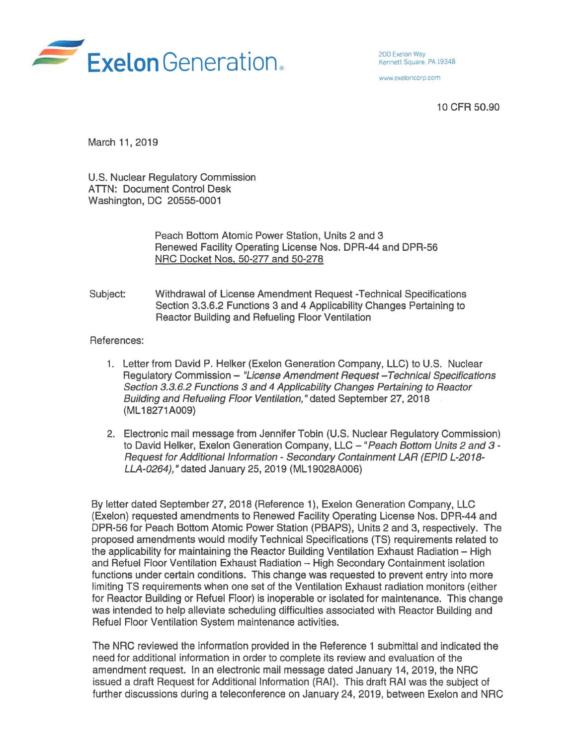

www exeloncorp com

10 CFR 50.90

March 11, 2019

U.S. Nuclear Regulatory Commission **ATTN: Document Control Desk** Washington, DC 20555-0001

> Peach Bottom Atomic Power Station, Units 2 and 3 Renewed Facility Operating License Nos. DPR-44 and DPR-56 NRC Docket Nos. 50-277 and 50-278

Subject: Withdrawal of License Amendment Request -Technical Specifications Section 3.3.6.2 Functions 3 and 4 Applicability Changes Pertaining to Reactor Building and Refueling Floor Ventilation

## References:

- 1. Letter from David P. Helker (Exelon Generation Company, LLC) to U.S. Nuclear Regulatory Commission - "License Amendment Request - Technical Specifications" Section 3.3.6.2 Functions 3 and 4 Applicability Changes Pertaining to Reactor Building and Refueling Floor Ventilation," dated September 27, 2018 (ML 18271 A009)
- 2. Electronic mail message from Jennifer Tobin (U.S. Nuclear Regulatory Commission) to David Helker, Exelon Generation Company, LLC - "Peach Bottom Units 2 and 3 -Request for Additional Information - Secondary Containment LAR (EPID L-2018- LLA-0264)," dated January 25, 2019 (ML 19028A006)

By letter dated September 27, 2018 (Reference 1), Exelon Generation Company, LLC (Exelon) requested amendments to Renewed Facility Operating License Nos. DPR-44 and DPR-56 for Peach Bottom Atomic Power Station (PBAPS}, Units 2 and 3, respectively. The proposed amendments would modify Technical Specifications (TS) requirements related to the applicability for maintaining the Reactor Building Ventilation Exhaust Radiation - High and Refuel Floor Ventilation Exhaust Radiation - High Secondary Containment isolation functions under certain conditions. This change was requested to prevent entry into more limiting TS requirements when one set of the Ventilation Exhaust radiation monitors (either for Reactor Building or Refuel Floor) is inoperable or isolated for maintenance. This change was intended to help alleviate scheduling difficulties associated with Reactor Building and Refuel Floor Ventilation System maintenance activities.

The NRG reviewed the information provided in the Reference 1 submittal and indicated the need for additional information in order to complete its review and evaluation of the amendment request. In an electronic mail message dated January 14, 2019, the NRG issued a draft Request for Additional Information (RAI). This draft RAI was the subject of further discussions during a teleconference on January 24, 2019, between Exelon and NRC